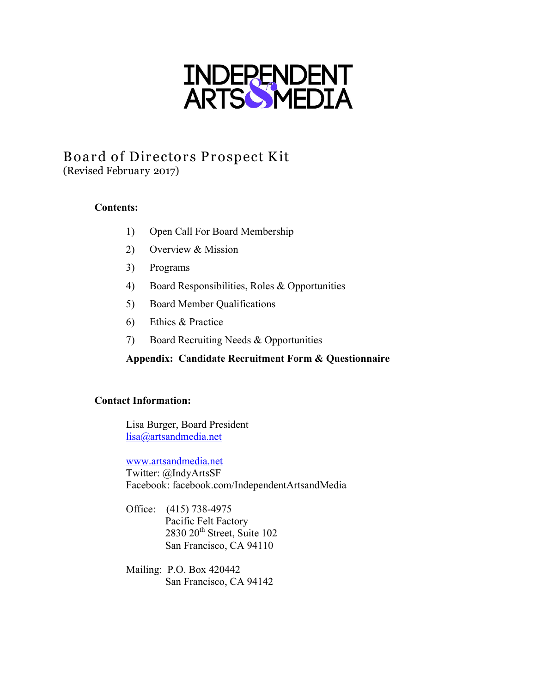

# Board of Directors Prospect Kit (Revised February 2017)

## **Contents:**

- 1) Open Call For Board Membership
- 2) Overview & Mission
- 3) Programs
- 4) Board Responsibilities, Roles & Opportunities
- 5) Board Member Qualifications
- 6) Ethics & Practice
- 7) Board Recruiting Needs & Opportunities

### **Appendix: Candidate Recruitment Form & Questionnaire**

#### **Contact Information:**

Lisa Burger, Board President lisa@artsandmedia.net

www.artsandmedia.net Twitter: @IndyArtsSF Facebook: facebook.com/IndependentArtsandMedia

- Office: (415) 738-4975 Pacific Felt Factory 2830 20<sup>th</sup> Street, Suite 102 San Francisco, CA 94110
- Mailing: P.O. Box 420442 San Francisco, CA 94142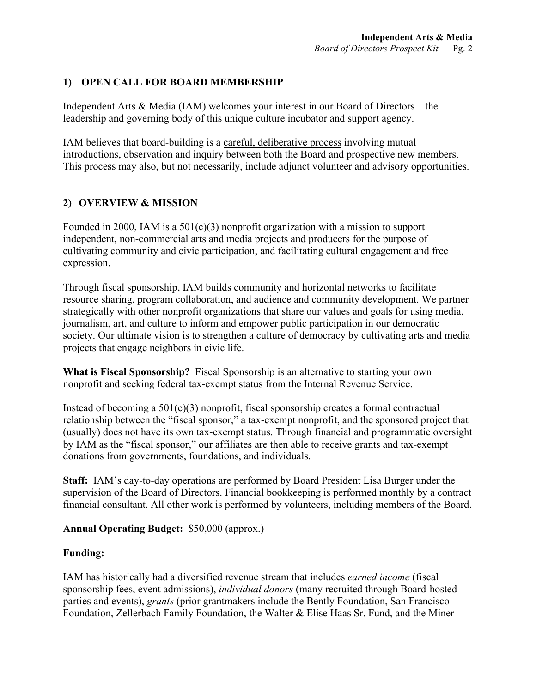# **1) OPEN CALL FOR BOARD MEMBERSHIP**

Independent Arts & Media (IAM) welcomes your interest in our Board of Directors – the leadership and governing body of this unique culture incubator and support agency.

IAM believes that board-building is a careful, deliberative process involving mutual introductions, observation and inquiry between both the Board and prospective new members. This process may also, but not necessarily, include adjunct volunteer and advisory opportunities.

## **2) OVERVIEW & MISSION**

Founded in 2000, IAM is a 501(c)(3) nonprofit organization with a mission to support independent, non-commercial arts and media projects and producers for the purpose of cultivating community and civic participation, and facilitating cultural engagement and free expression.

Through fiscal sponsorship, IAM builds community and horizontal networks to facilitate resource sharing, program collaboration, and audience and community development. We partner strategically with other nonprofit organizations that share our values and goals for using media, journalism, art, and culture to inform and empower public participation in our democratic society. Our ultimate vision is to strengthen a culture of democracy by cultivating arts and media projects that engage neighbors in civic life.

**What is Fiscal Sponsorship?** Fiscal Sponsorship is an alternative to starting your own nonprofit and seeking federal tax-exempt status from the Internal Revenue Service.

Instead of becoming a  $501(c)(3)$  nonprofit, fiscal sponsorship creates a formal contractual relationship between the "fiscal sponsor," a tax-exempt nonprofit, and the sponsored project that (usually) does not have its own tax-exempt status. Through financial and programmatic oversight by IAM as the "fiscal sponsor," our affiliates are then able to receive grants and tax-exempt donations from governments, foundations, and individuals.

**Staff:** IAM's day-to-day operations are performed by Board President Lisa Burger under the supervision of the Board of Directors. Financial bookkeeping is performed monthly by a contract financial consultant. All other work is performed by volunteers, including members of the Board.

### **Annual Operating Budget:** \$50,000 (approx.)

#### **Funding:**

IAM has historically had a diversified revenue stream that includes *earned income* (fiscal sponsorship fees, event admissions), *individual donors* (many recruited through Board-hosted parties and events), *grants* (prior grantmakers include the Bently Foundation, San Francisco Foundation, Zellerbach Family Foundation, the Walter & Elise Haas Sr. Fund, and the Miner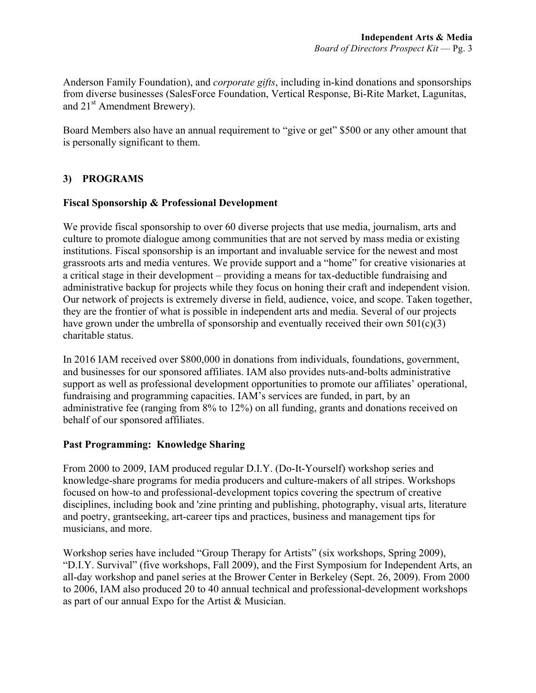Anderson Family Foundation), and *corporate gifts*, including in-kind donations and sponsorships from diverse businesses (SalesForce Foundation, Vertical Response, Bi-Rite Market, Lagunitas, and 21<sup>st</sup> Amendment Brewery).

Board Members also have an annual requirement to "give or get" \$500 or any other amount that is personally significant to them.

# **3) PROGRAMS**

#### **Fiscal Sponsorship & Professional Development**

We provide fiscal sponsorship to over 60 diverse projects that use media, journalism, arts and culture to promote dialogue among communities that are not served by mass media or existing institutions. Fiscal sponsorship is an important and invaluable service for the newest and most grassroots arts and media ventures. We provide support and a "home" for creative visionaries at a critical stage in their development – providing a means for tax-deductible fundraising and administrative backup for projects while they focus on honing their craft and independent vision. Our network of projects is extremely diverse in field, audience, voice, and scope. Taken together, they are the frontier of what is possible in independent arts and media. Several of our projects have grown under the umbrella of sponsorship and eventually received their own  $501(c)(3)$ charitable status.

In 2016 IAM received over \$800,000 in donations from individuals, foundations, government, and businesses for our sponsored affiliates. IAM also provides nuts-and-bolts administrative support as well as professional development opportunities to promote our affiliates' operational, fundraising and programming capacities. IAM's services are funded, in part, by an administrative fee (ranging from 8% to 12%) on all funding, grants and donations received on behalf of our sponsored affiliates.

### **Past Programming: Knowledge Sharing**

From 2000 to 2009, IAM produced regular D.I.Y. (Do-It-Yourself) workshop series and knowledge-share programs for media producers and culture-makers of all stripes. Workshops focused on how-to and professional-development topics covering the spectrum of creative disciplines, including book and 'zine printing and publishing, photography, visual arts, literature and poetry, grantseeking, art-career tips and practices, business and management tips for musicians, and more.

Workshop series have included "Group Therapy for Artists" (six workshops, Spring 2009), "D.I.Y. Survival" (five workshops, Fall 2009), and the First Symposium for Independent Arts, an all-day workshop and panel series at the Brower Center in Berkeley (Sept. 26, 2009). From 2000 to 2006, IAM also produced 20 to 40 annual technical and professional-development workshops as part of our annual Expo for the Artist & Musician.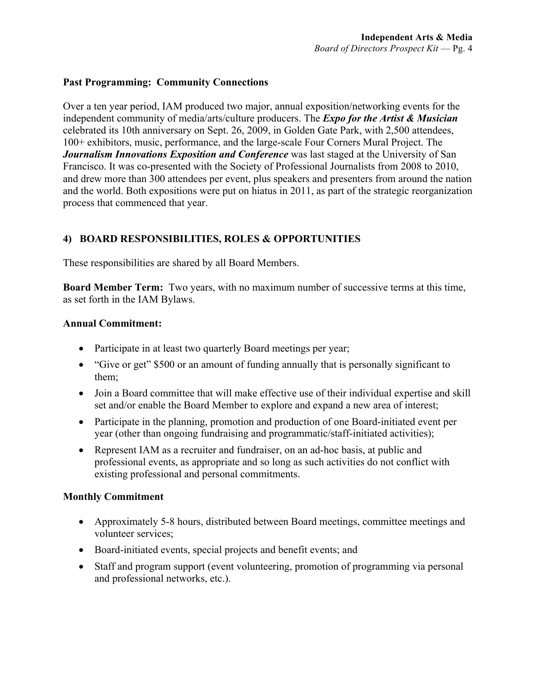### **Past Programming: Community Connections**

Over a ten year period, IAM produced two major, annual exposition/networking events for the independent community of media/arts/culture producers. The *Expo for the Artist & Musician* celebrated its 10th anniversary on Sept. 26, 2009, in Golden Gate Park, with 2,500 attendees, 100+ exhibitors, music, performance, and the large-scale Four Corners Mural Project. The *Journalism Innovations Exposition and Conference* was last staged at the University of San Francisco. It was co-presented with the Society of Professional Journalists from 2008 to 2010, and drew more than 300 attendees per event, plus speakers and presenters from around the nation and the world. Both expositions were put on hiatus in 2011, as part of the strategic reorganization process that commenced that year.

# **4) BOARD RESPONSIBILITIES, ROLES & OPPORTUNITIES**

These responsibilities are shared by all Board Members.

**Board Member Term:** Two years, with no maximum number of successive terms at this time, as set forth in the IAM Bylaws.

#### **Annual Commitment:**

- Participate in at least two quarterly Board meetings per year;
- "Give or get" \$500 or an amount of funding annually that is personally significant to them;
- Join a Board committee that will make effective use of their individual expertise and skill set and/or enable the Board Member to explore and expand a new area of interest;
- Participate in the planning, promotion and production of one Board-initiated event per year (other than ongoing fundraising and programmatic/staff-initiated activities);
- Represent IAM as a recruiter and fundraiser, on an ad-hoc basis, at public and professional events, as appropriate and so long as such activities do not conflict with existing professional and personal commitments.

### **Monthly Commitment**

- Approximately 5-8 hours, distributed between Board meetings, committee meetings and volunteer services;
- Board-initiated events, special projects and benefit events; and
- Staff and program support (event volunteering, promotion of programming via personal and professional networks, etc.).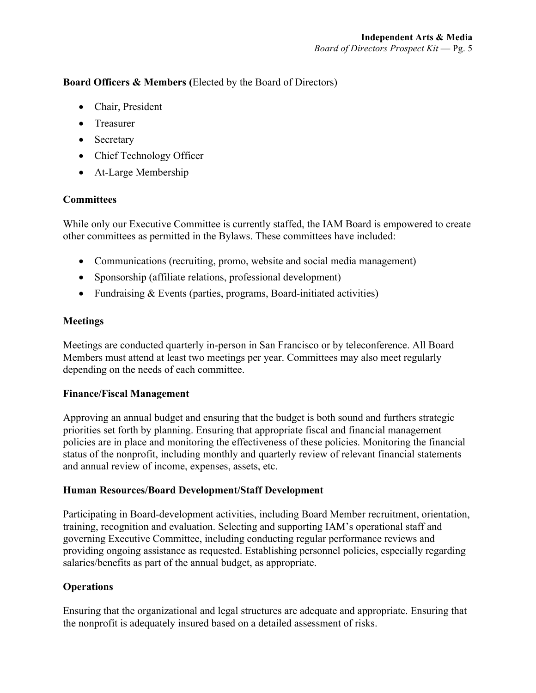## **Board Officers & Members (**Elected by the Board of Directors)

- Chair, President
- Treasurer
- Secretary
- Chief Technology Officer
- At-Large Membership

## **Committees**

While only our Executive Committee is currently staffed, the IAM Board is empowered to create other committees as permitted in the Bylaws. These committees have included:

- Communications (recruiting, promo, website and social media management)
- Sponsorship (affiliate relations, professional development)
- Fundraising & Events (parties, programs, Board-initiated activities)

### **Meetings**

Meetings are conducted quarterly in-person in San Francisco or by teleconference. All Board Members must attend at least two meetings per year. Committees may also meet regularly depending on the needs of each committee.

### **Finance/Fiscal Management**

Approving an annual budget and ensuring that the budget is both sound and furthers strategic priorities set forth by planning. Ensuring that appropriate fiscal and financial management policies are in place and monitoring the effectiveness of these policies. Monitoring the financial status of the nonprofit, including monthly and quarterly review of relevant financial statements and annual review of income, expenses, assets, etc.

### **Human Resources/Board Development/Staff Development**

Participating in Board-development activities, including Board Member recruitment, orientation, training, recognition and evaluation. Selecting and supporting IAM's operational staff and governing Executive Committee, including conducting regular performance reviews and providing ongoing assistance as requested. Establishing personnel policies, especially regarding salaries/benefits as part of the annual budget, as appropriate.

# **Operations**

Ensuring that the organizational and legal structures are adequate and appropriate. Ensuring that the nonprofit is adequately insured based on a detailed assessment of risks.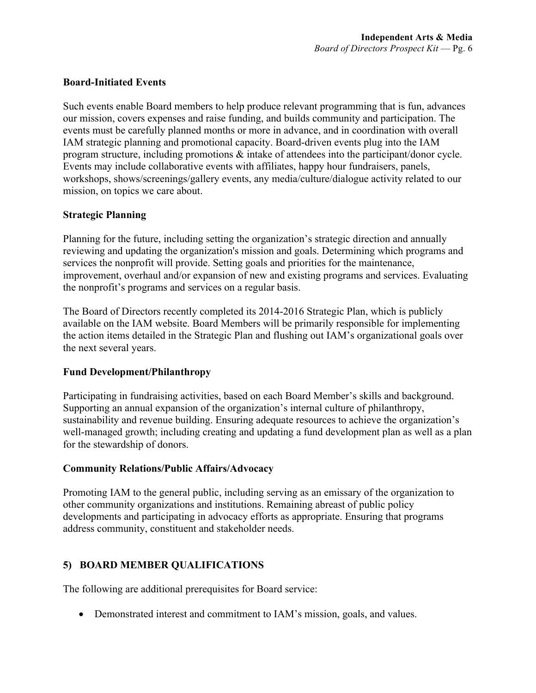#### **Board-Initiated Events**

Such events enable Board members to help produce relevant programming that is fun, advances our mission, covers expenses and raise funding, and builds community and participation. The events must be carefully planned months or more in advance, and in coordination with overall IAM strategic planning and promotional capacity. Board-driven events plug into the IAM program structure, including promotions & intake of attendees into the participant/donor cycle. Events may include collaborative events with affiliates, happy hour fundraisers, panels, workshops, shows/screenings/gallery events, any media/culture/dialogue activity related to our mission, on topics we care about.

### **Strategic Planning**

Planning for the future, including setting the organization's strategic direction and annually reviewing and updating the organization's mission and goals. Determining which programs and services the nonprofit will provide. Setting goals and priorities for the maintenance, improvement, overhaul and/or expansion of new and existing programs and services. Evaluating the nonprofit's programs and services on a regular basis.

The Board of Directors recently completed its 2014-2016 Strategic Plan, which is publicly available on the IAM website. Board Members will be primarily responsible for implementing the action items detailed in the Strategic Plan and flushing out IAM's organizational goals over the next several years.

#### **Fund Development/Philanthropy**

Participating in fundraising activities, based on each Board Member's skills and background. Supporting an annual expansion of the organization's internal culture of philanthropy, sustainability and revenue building. Ensuring adequate resources to achieve the organization's well-managed growth; including creating and updating a fund development plan as well as a plan for the stewardship of donors.

#### **Community Relations/Public Affairs/Advocacy**

Promoting IAM to the general public, including serving as an emissary of the organization to other community organizations and institutions. Remaining abreast of public policy developments and participating in advocacy efforts as appropriate. Ensuring that programs address community, constituent and stakeholder needs.

### **5) BOARD MEMBER QUALIFICATIONS**

The following are additional prerequisites for Board service:

• Demonstrated interest and commitment to IAM's mission, goals, and values.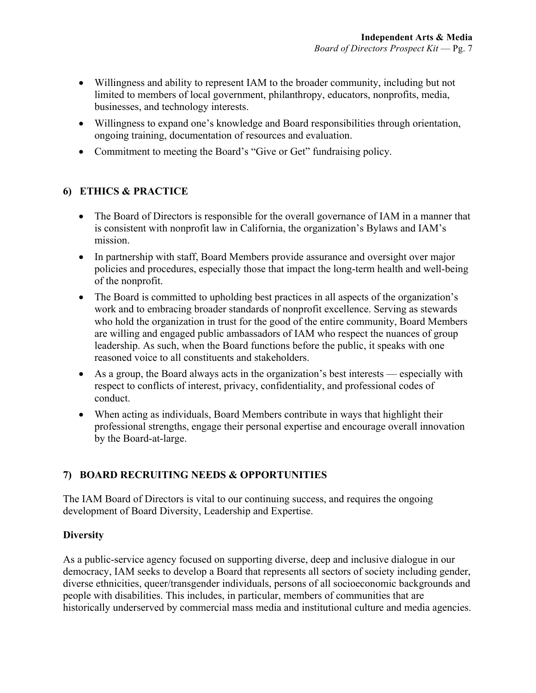- Willingness and ability to represent IAM to the broader community, including but not limited to members of local government, philanthropy, educators, nonprofits, media, businesses, and technology interests.
- Willingness to expand one's knowledge and Board responsibilities through orientation, ongoing training, documentation of resources and evaluation.
- Commitment to meeting the Board's "Give or Get" fundraising policy.

## **6) ETHICS & PRACTICE**

- The Board of Directors is responsible for the overall governance of IAM in a manner that is consistent with nonprofit law in California, the organization's Bylaws and IAM's mission.
- In partnership with staff, Board Members provide assurance and oversight over major policies and procedures, especially those that impact the long-term health and well-being of the nonprofit.
- The Board is committed to upholding best practices in all aspects of the organization's work and to embracing broader standards of nonprofit excellence. Serving as stewards who hold the organization in trust for the good of the entire community, Board Members are willing and engaged public ambassadors of IAM who respect the nuances of group leadership. As such, when the Board functions before the public, it speaks with one reasoned voice to all constituents and stakeholders.
- As a group, the Board always acts in the organization's best interests especially with respect to conflicts of interest, privacy, confidentiality, and professional codes of conduct.
- When acting as individuals, Board Members contribute in ways that highlight their professional strengths, engage their personal expertise and encourage overall innovation by the Board-at-large.

# **7) BOARD RECRUITING NEEDS & OPPORTUNITIES**

The IAM Board of Directors is vital to our continuing success, and requires the ongoing development of Board Diversity, Leadership and Expertise.

### **Diversity**

As a public-service agency focused on supporting diverse, deep and inclusive dialogue in our democracy, IAM seeks to develop a Board that represents all sectors of society including gender, diverse ethnicities, queer/transgender individuals, persons of all socioeconomic backgrounds and people with disabilities. This includes, in particular, members of communities that are historically underserved by commercial mass media and institutional culture and media agencies.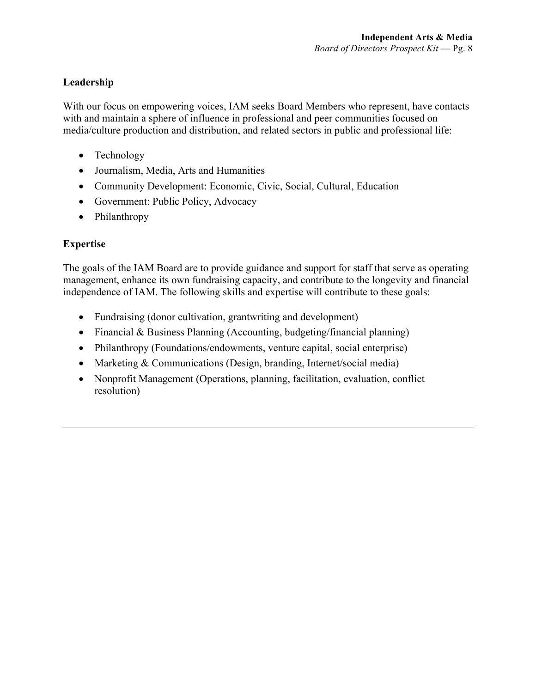# **Leadership**

With our focus on empowering voices, IAM seeks Board Members who represent, have contacts with and maintain a sphere of influence in professional and peer communities focused on media/culture production and distribution, and related sectors in public and professional life:

- Technology
- Journalism, Media, Arts and Humanities
- Community Development: Economic, Civic, Social, Cultural, Education
- Government: Public Policy, Advocacy
- Philanthropy

## **Expertise**

The goals of the IAM Board are to provide guidance and support for staff that serve as operating management, enhance its own fundraising capacity, and contribute to the longevity and financial independence of IAM. The following skills and expertise will contribute to these goals:

- Fundraising (donor cultivation, grantwriting and development)
- Financial & Business Planning (Accounting, budgeting/financial planning)
- Philanthropy (Foundations/endowments, venture capital, social enterprise)
- Marketing & Communications (Design, branding, Internet/social media)
- Nonprofit Management (Operations, planning, facilitation, evaluation, conflict resolution)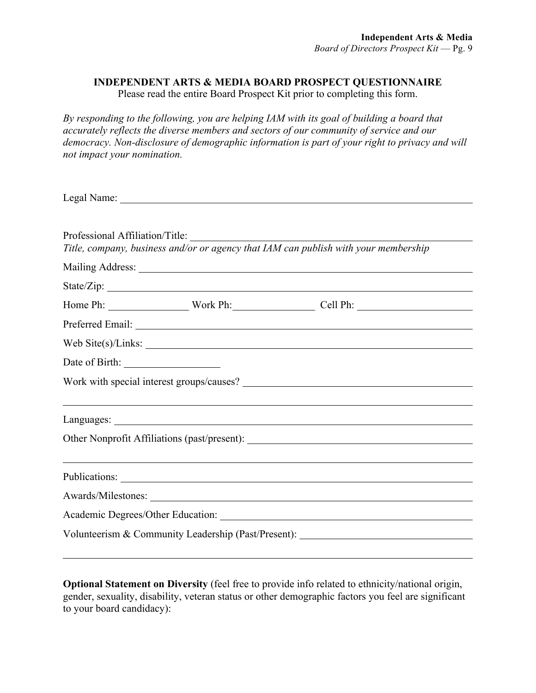#### **INDEPENDENT ARTS & MEDIA BOARD PROSPECT QUESTIONNAIRE**

Please read the entire Board Prospect Kit prior to completing this form.

*By responding to the following, you are helping IAM with its goal of building a board that accurately reflects the diverse members and sectors of our community of service and our democracy. Non-disclosure of demographic information is part of your right to privacy and will not impact your nomination.* 

| Professional Affiliation/Title: | Title, company, business and/or or agency that IAM can publish with your membership |  |
|---------------------------------|-------------------------------------------------------------------------------------|--|
|                                 |                                                                                     |  |
|                                 |                                                                                     |  |
|                                 | Home Ph: Work Ph: Work Ph: Cell Ph:                                                 |  |
|                                 |                                                                                     |  |
|                                 | Web Site(s)/Links: $\frac{1}{2}$ Meb Site(s)/Links:                                 |  |
|                                 |                                                                                     |  |
|                                 |                                                                                     |  |
|                                 |                                                                                     |  |
|                                 |                                                                                     |  |
|                                 |                                                                                     |  |
|                                 |                                                                                     |  |
|                                 |                                                                                     |  |
|                                 |                                                                                     |  |
|                                 | Volunteerism & Community Leadership (Past/Present): ____________________________    |  |
|                                 |                                                                                     |  |

**Optional Statement on Diversity** (feel free to provide info related to ethnicity/national origin, gender, sexuality, disability, veteran status or other demographic factors you feel are significant to your board candidacy):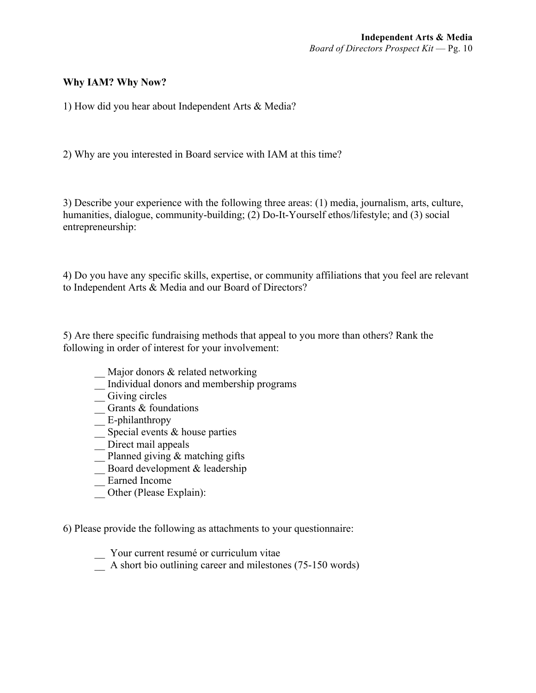### **Why IAM? Why Now?**

1) How did you hear about Independent Arts & Media?

2) Why are you interested in Board service with IAM at this time?

3) Describe your experience with the following three areas: (1) media, journalism, arts, culture, humanities, dialogue, community-building; (2) Do-It-Yourself ethos/lifestyle; and (3) social entrepreneurship:

4) Do you have any specific skills, expertise, or community affiliations that you feel are relevant to Independent Arts & Media and our Board of Directors?

5) Are there specific fundraising methods that appeal to you more than others? Rank the following in order of interest for your involvement:

- \_\_ Major donors & related networking
- \_\_ Individual donors and membership programs
- \_\_ Giving circles
- $\overline{\phantom{a}}$  Grants & foundations
- E-philanthropy
- $\overline{\phantom{a}}$  Special events & house parties
- \_\_ Direct mail appeals
- $\equiv$  Planned giving & matching gifts
- $\overline{\phantom{a}}$  Board development & leadership
- \_\_ Earned Income
- \_\_ Other (Please Explain):

6) Please provide the following as attachments to your questionnaire:

- \_\_ Your current resumé or curriculum vitae
- \_\_ A short bio outlining career and milestones (75-150 words)